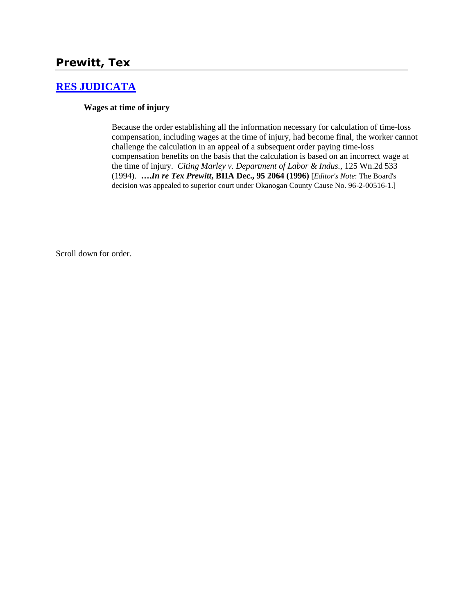# **Prewitt, Tex**

## **[RES JUDICATA](http://www.biia.wa.gov/SDSubjectIndex.html#RES_JUDICATA)**

#### **Wages at time of injury**

Because the order establishing all the information necessary for calculation of time-loss compensation, including wages at the time of injury, had become final, the worker cannot challenge the calculation in an appeal of a subsequent order paying time-loss compensation benefits on the basis that the calculation is based on an incorrect wage at the time of injury. *Citing Marley v. Department of Labor & Indus.,* 125 Wn.2d 533 (1994). **….***In re Tex Prewitt***, BIIA Dec., 95 2064 (1996)** [*Editor's Note*: The Board's decision was appealed to superior court under Okanogan County Cause No. 96-2-00516-1.]

Scroll down for order.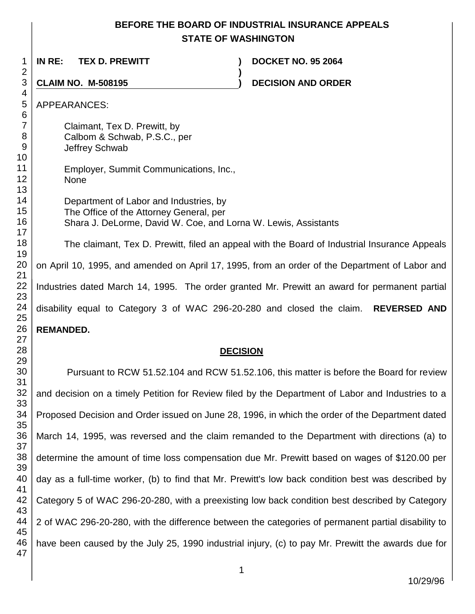## **BEFORE THE BOARD OF INDUSTRIAL INSURANCE APPEALS STATE OF WASHINGTON**

 **IN RE: TEX D. PREWITT ) DOCKET NO. 95 2064 ) CLAIM NO. M-508195 ) DECISION AND ORDER**  APPEARANCES: Claimant, Tex D. Prewitt, by Calbom & Schwab, P.S.C., per Jeffrey Schwab Employer, Summit Communications, Inc., None Department of Labor and Industries, by The Office of the Attorney General, per Shara J. DeLorme, David W. Coe, and Lorna W. Lewis, Assistants The claimant, Tex D. Prewitt, filed an appeal with the Board of Industrial Insurance Appeals on April 10, 1995, and amended on April 17, 1995, from an order of the Department of Labor and Industries dated March 14, 1995. The order granted Mr. Prewitt an award for permanent partial disability equal to Category 3 of WAC 296-20-280 and closed the claim. **REVERSED AND REMANDED. DECISION** Pursuant to RCW 51.52.104 and RCW 51.52.106, this matter is before the Board for review

 and decision on a timely Petition for Review filed by the Department of Labor and Industries to a Proposed Decision and Order issued on June 28, 1996, in which the order of the Department dated March 14, 1995, was reversed and the claim remanded to the Department with directions (a) to determine the amount of time loss compensation due Mr. Prewitt based on wages of \$120.00 per day as a full-time worker, (b) to find that Mr. Prewitt's low back condition best was described by Category 5 of WAC 296-20-280, with a preexisting low back condition best described by Category 2 of WAC 296-20-280, with the difference between the categories of permanent partial disability to have been caused by the July 25, 1990 industrial injury, (c) to pay Mr. Prewitt the awards due for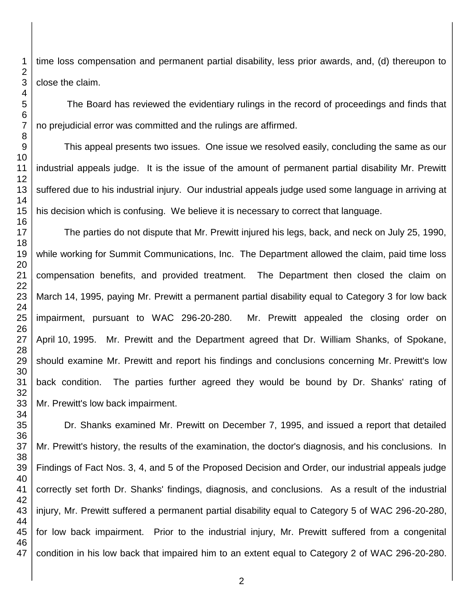time loss compensation and permanent partial disability, less prior awards, and, (d) thereupon to close the claim.

The Board has reviewed the evidentiary rulings in the record of proceedings and finds that no prejudicial error was committed and the rulings are affirmed.

This appeal presents two issues. One issue we resolved easily, concluding the same as our industrial appeals judge. It is the issue of the amount of permanent partial disability Mr. Prewitt suffered due to his industrial injury. Our industrial appeals judge used some language in arriving at his decision which is confusing. We believe it is necessary to correct that language.

The parties do not dispute that Mr. Prewitt injured his legs, back, and neck on July 25, 1990, while working for Summit Communications, Inc. The Department allowed the claim, paid time loss compensation benefits, and provided treatment. The Department then closed the claim on March 14, 1995, paying Mr. Prewitt a permanent partial disability equal to Category 3 for low back impairment, pursuant to WAC 296-20-280. Mr. Prewitt appealed the closing order on April 10, 1995. Mr. Prewitt and the Department agreed that Dr. William Shanks, of Spokane, should examine Mr. Prewitt and report his findings and conclusions concerning Mr. Prewitt's low back condition. The parties further agreed they would be bound by Dr. Shanks' rating of Mr. Prewitt's low back impairment.

Dr. Shanks examined Mr. Prewitt on December 7, 1995, and issued a report that detailed Mr. Prewitt's history, the results of the examination, the doctor's diagnosis, and his conclusions. In Findings of Fact Nos. 3, 4, and 5 of the Proposed Decision and Order, our industrial appeals judge correctly set forth Dr. Shanks' findings, diagnosis, and conclusions. As a result of the industrial injury, Mr. Prewitt suffered a permanent partial disability equal to Category 5 of WAC 296-20-280, for low back impairment. Prior to the industrial injury, Mr. Prewitt suffered from a congenital condition in his low back that impaired him to an extent equal to Category 2 of WAC 296-20-280.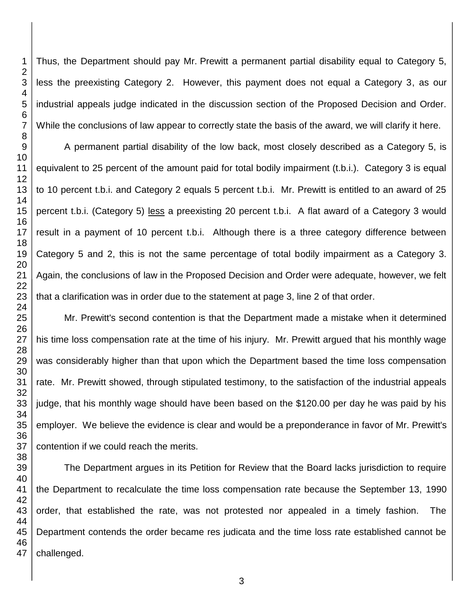Thus, the Department should pay Mr. Prewitt a permanent partial disability equal to Category 5, less the preexisting Category 2. However, this payment does not equal a Category 3, as our industrial appeals judge indicated in the discussion section of the Proposed Decision and Order. While the conclusions of law appear to correctly state the basis of the award, we will clarify it here.

A permanent partial disability of the low back, most closely described as a Category 5, is equivalent to 25 percent of the amount paid for total bodily impairment (t.b.i.). Category 3 is equal to 10 percent t.b.i. and Category 2 equals 5 percent t.b.i. Mr. Prewitt is entitled to an award of 25 percent t.b.i. (Category 5) less a preexisting 20 percent t.b.i. A flat award of a Category 3 would result in a payment of 10 percent t.b.i. Although there is a three category difference between Category 5 and 2, this is not the same percentage of total bodily impairment as a Category 3. Again, the conclusions of law in the Proposed Decision and Order were adequate, however, we felt that a clarification was in order due to the statement at page 3, line 2 of that order.

Mr. Prewitt's second contention is that the Department made a mistake when it determined his time loss compensation rate at the time of his injury. Mr. Prewitt argued that his monthly wage was considerably higher than that upon which the Department based the time loss compensation rate. Mr. Prewitt showed, through stipulated testimony, to the satisfaction of the industrial appeals judge, that his monthly wage should have been based on the \$120.00 per day he was paid by his employer. We believe the evidence is clear and would be a preponderance in favor of Mr. Prewitt's contention if we could reach the merits.

The Department argues in its Petition for Review that the Board lacks jurisdiction to require the Department to recalculate the time loss compensation rate because the September 13, 1990 order, that established the rate, was not protested nor appealed in a timely fashion. The Department contends the order became res judicata and the time loss rate established cannot be challenged.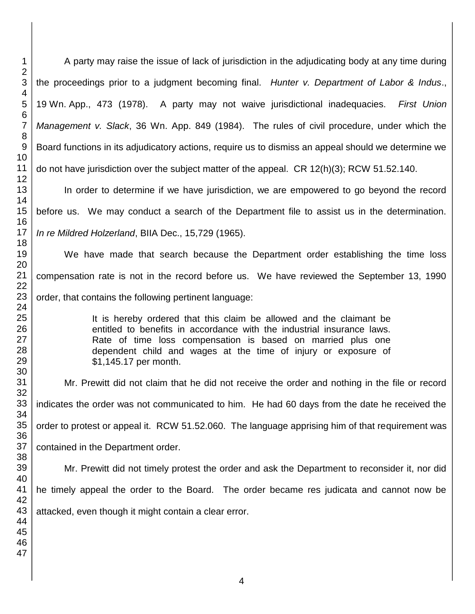A party may raise the issue of lack of jurisdiction in the adjudicating body at any time during the proceedings prior to a judgment becoming final. *Hunter v. Department of Labor & Indus*., Wn. App., 473 (1978). A party may not waive jurisdictional inadequacies. *First Union Management v. Slack*, 36 Wn. App. 849 (1984). The rules of civil procedure, under which the Board functions in its adjudicatory actions, require us to dismiss an appeal should we determine we do not have jurisdiction over the subject matter of the appeal. CR 12(h)(3); RCW 51.52.140.

In order to determine if we have jurisdiction, we are empowered to go beyond the record before us. We may conduct a search of the Department file to assist us in the determination. *In re Mildred Holzerland*, BIIA Dec., 15,729 (1965).

We have made that search because the Department order establishing the time loss compensation rate is not in the record before us. We have reviewed the September 13, 1990 order, that contains the following pertinent language:

> It is hereby ordered that this claim be allowed and the claimant be entitled to benefits in accordance with the industrial insurance laws. Rate of time loss compensation is based on married plus one dependent child and wages at the time of injury or exposure of \$1,145.17 per month.

Mr. Prewitt did not claim that he did not receive the order and nothing in the file or record indicates the order was not communicated to him. He had 60 days from the date he received the order to protest or appeal it. RCW 51.52.060. The language apprising him of that requirement was contained in the Department order.

Mr. Prewitt did not timely protest the order and ask the Department to reconsider it, nor did he timely appeal the order to the Board. The order became res judicata and cannot now be attacked, even though it might contain a clear error.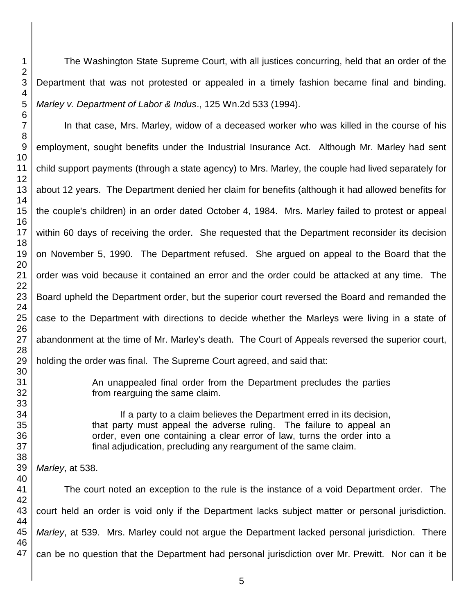The Washington State Supreme Court, with all justices concurring, held that an order of the Department that was not protested or appealed in a timely fashion became final and binding. *Marley v. Department of Labor & Indus*., 125 Wn.2d 533 (1994).

In that case, Mrs. Marley, widow of a deceased worker who was killed in the course of his employment, sought benefits under the Industrial Insurance Act. Although Mr. Marley had sent child support payments (through a state agency) to Mrs. Marley, the couple had lived separately for about 12 years. The Department denied her claim for benefits (although it had allowed benefits for the couple's children) in an order dated October 4, 1984. Mrs. Marley failed to protest or appeal within 60 days of receiving the order. She requested that the Department reconsider its decision on November 5, 1990. The Department refused. She argued on appeal to the Board that the order was void because it contained an error and the order could be attacked at any time. The Board upheld the Department order, but the superior court reversed the Board and remanded the case to the Department with directions to decide whether the Marleys were living in a state of abandonment at the time of Mr. Marley's death. The Court of Appeals reversed the superior court, holding the order was final. The Supreme Court agreed, and said that:

> An unappealed final order from the Department precludes the parties from rearguing the same claim.

> If a party to a claim believes the Department erred in its decision, that party must appeal the adverse ruling. The failure to appeal an order, even one containing a clear error of law, turns the order into a final adjudication, precluding any reargument of the same claim.

*Marley*, at 538.

The court noted an exception to the rule is the instance of a void Department order. The court held an order is void only if the Department lacks subject matter or personal jurisdiction. *Marley*, at 539. Mrs. Marley could not argue the Department lacked personal jurisdiction. There can be no question that the Department had personal jurisdiction over Mr. Prewitt. Nor can it be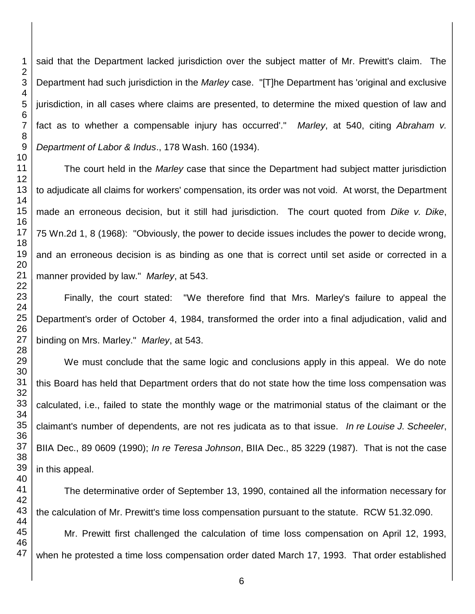said that the Department lacked jurisdiction over the subject matter of Mr. Prewitt's claim. The Department had such jurisdiction in the *Marley* case. "[T]he Department has 'original and exclusive jurisdiction, in all cases where claims are presented, to determine the mixed question of law and fact as to whether a compensable injury has occurred'." *Marley*, at 540, citing *Abraham v. Department of Labor & Indus*., 178 Wash. 160 (1934).

The court held in the *Marley* case that since the Department had subject matter jurisdiction to adjudicate all claims for workers' compensation, its order was not void. At worst, the Department made an erroneous decision, but it still had jurisdiction. The court quoted from *Dike v. Dike*, Wn.2d 1, 8 (1968): "Obviously, the power to decide issues includes the power to decide wrong, and an erroneous decision is as binding as one that is correct until set aside or corrected in a manner provided by law." *Marley*, at 543.

Finally, the court stated: "We therefore find that Mrs. Marley's failure to appeal the Department's order of October 4, 1984, transformed the order into a final adjudication, valid and binding on Mrs. Marley." *Marley*, at 543.

We must conclude that the same logic and conclusions apply in this appeal. We do note this Board has held that Department orders that do not state how the time loss compensation was calculated, i.e., failed to state the monthly wage or the matrimonial status of the claimant or the claimant's number of dependents, are not res judicata as to that issue. *In re Louise J. Scheeler*, BIIA Dec., 89 0609 (1990); *In re Teresa Johnson*, BIIA Dec., 85 3229 (1987). That is not the case in this appeal.

The determinative order of September 13, 1990, contained all the information necessary for the calculation of Mr. Prewitt's time loss compensation pursuant to the statute. RCW 51.32.090.

Mr. Prewitt first challenged the calculation of time loss compensation on April 12, 1993, when he protested a time loss compensation order dated March 17, 1993. That order established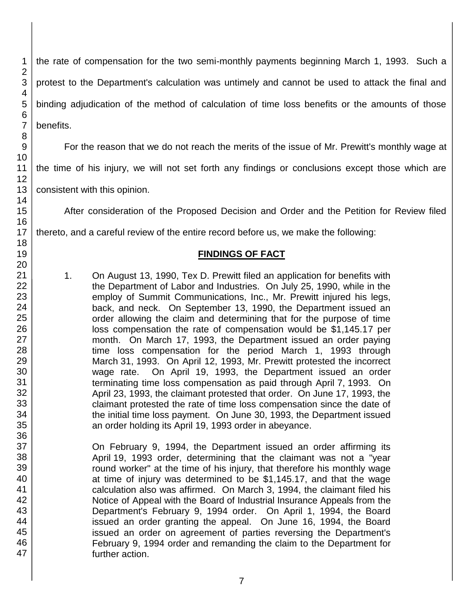the rate of compensation for the two semi-monthly payments beginning March 1, 1993. Such a protest to the Department's calculation was untimely and cannot be used to attack the final and binding adjudication of the method of calculation of time loss benefits or the amounts of those benefits.

For the reason that we do not reach the merits of the issue of Mr. Prewitt's monthly wage at

the time of his injury, we will not set forth any findings or conclusions except those which are

consistent with this opinion.

After consideration of the Proposed Decision and Order and the Petition for Review filed

thereto, and a careful review of the entire record before us, we make the following:

### **FINDINGS OF FACT**

1. On August 13, 1990, Tex D. Prewitt filed an application for benefits with the Department of Labor and Industries. On July 25, 1990, while in the employ of Summit Communications, Inc., Mr. Prewitt injured his legs, back, and neck. On September 13, 1990, the Department issued an order allowing the claim and determining that for the purpose of time loss compensation the rate of compensation would be \$1,145.17 per month. On March 17, 1993, the Department issued an order paying time loss compensation for the period March 1, 1993 through March 31, 1993. On April 12, 1993, Mr. Prewitt protested the incorrect wage rate. On April 19, 1993, the Department issued an order terminating time loss compensation as paid through April 7, 1993. On April 23, 1993, the claimant protested that order. On June 17, 1993, the claimant protested the rate of time loss compensation since the date of the initial time loss payment. On June 30, 1993, the Department issued an order holding its April 19, 1993 order in abeyance.

On February 9, 1994, the Department issued an order affirming its April 19, 1993 order, determining that the claimant was not a "year round worker" at the time of his injury, that therefore his monthly wage at time of injury was determined to be \$1,145.17, and that the wage calculation also was affirmed. On March 3, 1994, the claimant filed his Notice of Appeal with the Board of Industrial Insurance Appeals from the Department's February 9, 1994 order. On April 1, 1994, the Board issued an order granting the appeal. On June 16, 1994, the Board issued an order on agreement of parties reversing the Department's February 9, 1994 order and remanding the claim to the Department for further action.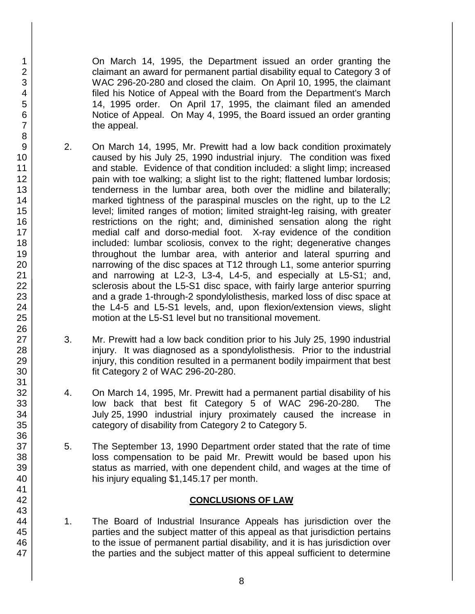On March 14, 1995, the Department issued an order granting the claimant an award for permanent partial disability equal to Category 3 of WAC 296-20-280 and closed the claim. On April 10, 1995, the claimant filed his Notice of Appeal with the Board from the Department's March 14, 1995 order. On April 17, 1995, the claimant filed an amended Notice of Appeal. On May 4, 1995, the Board issued an order granting the appeal.

- 2. On March 14, 1995, Mr. Prewitt had a low back condition proximately caused by his July 25, 1990 industrial injury. The condition was fixed and stable. Evidence of that condition included: a slight limp; increased pain with toe walking; a slight list to the right; flattened lumbar lordosis; tenderness in the lumbar area, both over the midline and bilaterally; marked tightness of the paraspinal muscles on the right, up to the L2 level; limited ranges of motion; limited straight-leg raising, with greater restrictions on the right; and, diminished sensation along the right medial calf and dorso-medial foot. X-ray evidence of the condition included: lumbar scoliosis, convex to the right; degenerative changes throughout the lumbar area, with anterior and lateral spurring and narrowing of the disc spaces at T12 through L1, some anterior spurring and narrowing at L2-3, L3-4, L4-5, and especially at L5-S1; and, sclerosis about the L5-S1 disc space, with fairly large anterior spurring and a grade 1-through-2 spondylolisthesis, marked loss of disc space at the L4-5 and L5-S1 levels, and, upon flexion/extension views, slight motion at the L5-S1 level but no transitional movement.
- 3. Mr. Prewitt had a low back condition prior to his July 25, 1990 industrial injury. It was diagnosed as a spondylolisthesis. Prior to the industrial injury, this condition resulted in a permanent bodily impairment that best fit Category 2 of WAC 296-20-280.
- 4. On March 14, 1995, Mr. Prewitt had a permanent partial disability of his low back that best fit Category 5 of WAC 296-20-280. The July 25, 1990 industrial injury proximately caused the increase in category of disability from Category 2 to Category 5.
- 5. The September 13, 1990 Department order stated that the rate of time loss compensation to be paid Mr. Prewitt would be based upon his status as married, with one dependent child, and wages at the time of his injury equaling \$1,145.17 per month.

## **CONCLUSIONS OF LAW**

1. The Board of Industrial Insurance Appeals has jurisdiction over the parties and the subject matter of this appeal as that jurisdiction pertains to the issue of permanent partial disability, and it is has jurisdiction over the parties and the subject matter of this appeal sufficient to determine